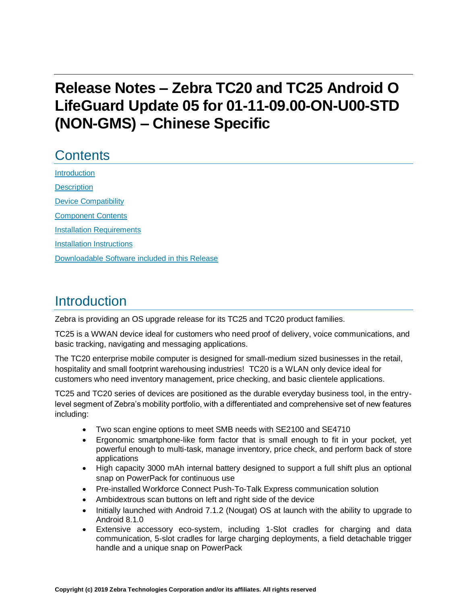# **Release Notes – Zebra TC20 and TC25 Android O LifeGuard Update 05 for 01-11-09.00-ON-U00-STD (NON-GMS) – Chinese Specific**

# **Contents**

[Introduction](#page-0-0) **[Description](#page-0-0)** [Device Compatibility](#page-2-0) [Component Contents](#page-3-0) [Installation Requirements](#page-4-0) [Installation Instructions](#page-5-0) [Downloadable Software included in this Release](#page-7-0) 

## <span id="page-0-0"></span>Introduction

Zebra is providing an OS upgrade release for its TC25 and TC20 product families.

TC25 is a WWAN device ideal for customers who need proof of delivery, voice communications, and basic tracking, navigating and messaging applications.

The TC20 enterprise mobile computer is designed for small-medium sized businesses in the retail, hospitality and small footprint warehousing industries! TC20 is a WLAN only device ideal for customers who need inventory management, price checking, and basic clientele applications.

TC25 and TC20 series of devices are positioned as the durable everyday business tool, in the entrylevel segment of Zebra's mobility portfolio, with a differentiated and comprehensive set of new features including:

- Two scan engine options to meet SMB needs with SE2100 and SE4710
- Ergonomic smartphone-like form factor that is small enough to fit in your pocket, yet powerful enough to multi-task, manage inventory, price check, and perform back of store applications
- High capacity 3000 mAh internal battery designed to support a full shift plus an optional snap on PowerPack for continuous use
- Pre-installed Workforce Connect Push-To-Talk Express communication solution
- Ambidextrous scan buttons on left and right side of the device
- Initially launched with Android 7.1.2 (Nougat) OS at launch with the ability to upgrade to Android 8.1.0
- Extensive accessory eco-system, including 1-Slot cradles for charging and data communication, 5-slot cradles for large charging deployments, a field detachable trigger handle and a unique snap on PowerPack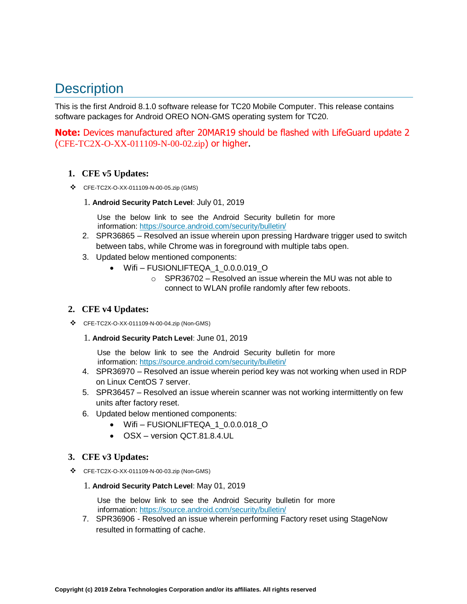# **Description**

This is the first Android 8.1.0 software release for TC20 Mobile Computer. This release contains software packages for Android OREO NON-GMS operating system for TC20.

**Note:** Devices manufactured after 20MAR19 should be flashed with LifeGuard update 2 (CFE-TC2X-O-XX-011109-N-00-02.zip) or higher.

#### **1. CFE v5 Updates:**

- ❖ CFE-TC2X-O-XX-011109-N-00-05.zip (GMS)
	- 1. **Android Security Patch Level**: July 01, 2019

Use the below link to see the Android Security bulletin for more information:<https://source.android.com/security/bulletin/>

- 2. SPR36865 Resolved an issue wherein upon pressing Hardware trigger used to switch between tabs, while Chrome was in foreground with multiple tabs open.
- 3. Updated below mentioned components:
	- Wifi FUSIONLIFTEQA 1 0.0.0.019 O
		- o SPR36702 Resolved an issue wherein the MU was not able to connect to WLAN profile randomly after few reboots.

#### **2. CFE v4 Updates:**

- ❖ CFE-TC2X-O-XX-011109-N-00-04.zip (Non-GMS)
	- 1. **Android Security Patch Level**: June 01, 2019

Use the below link to see the Android Security bulletin for more information:<https://source.android.com/security/bulletin/>

- 4. SPR36970 Resolved an issue wherein period key was not working when used in RDP on Linux CentOS 7 server.
- 5. SPR36457 Resolved an issue wherein scanner was not working intermittently on few units after factory reset.
- 6. Updated below mentioned components:
	- Wifi FUSIONLIFTEQA 1 0.0.0.018 O
	- OSX version QCT.81.8.4.UL

#### **3. CFE v3 Updates:**

- ❖ CFE-TC2X-O-XX-011109-N-00-03.zip (Non-GMS)
	- 1. **Android Security Patch Level**: May 01, 2019

Use the below link to see the Android Security bulletin for more information:<https://source.android.com/security/bulletin/>

7. SPR36906 - Resolved an issue wherein performing Factory reset using StageNow resulted in formatting of cache.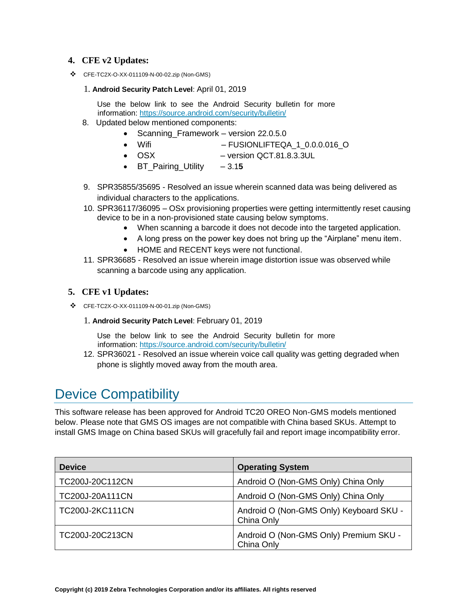#### **4. CFE v2 Updates:**

❖ CFE-TC2X-O-XX-011109-N-00-02.zip (Non-GMS)

#### 1. **Android Security Patch Level**: April 01, 2019

Use the below link to see the Android Security bulletin for more information:<https://source.android.com/security/bulletin/>

- 8. Updated below mentioned components:
	- Scanning\_Framework version 22.0.5.0
	- Wifi FUSIONLIFTEQA\_1\_0.0.0.016\_O
	- OSX version QCT.81.8.3.3UL
	- BT\_Pairing\_Utility 3.1**5**
- 9. SPR35855/35695 Resolved an issue wherein scanned data was being delivered as individual characters to the applications.
- 10. SPR36117/36095 OSx provisioning properties were getting intermittently reset causing device to be in a non-provisioned state causing below symptoms.
	- When scanning a barcode it does not decode into [the](https://confluence.zebra.com/pages/createpage.action?spaceKey=LIF&title=customer+apps+or+DWDEMO) targeted application.
	- A long press on the power key does not bring up the "Airplane" menu item.
	- HOME and RECENT keys were not functional.
- 11. SPR36685 Resolved an issue wherein image distortion issue was observed while scanning a barcode using any application.

#### **5. CFE v1 Updates:**

- ❖ CFE-TC2X-O-XX-011109-N-00-01.zip (Non-GMS)
	- 1. **Android Security Patch Level**: February 01, 2019

Use the below link to see the Android Security bulletin for more information:<https://source.android.com/security/bulletin/>

12. SPR36021 - Resolved an issue wherein voice call quality was getting degraded when phone is slightly moved away from the mouth area.

## <span id="page-2-0"></span>Device Compatibility

This software release has been approved for Android TC20 OREO Non-GMS models mentioned below. Please note that GMS OS images are not compatible with China based SKUs. Attempt to install GMS Image on China based SKUs will gracefully fail and report image incompatibility error.

| <b>Device</b>          | <b>Operating System</b>                               |
|------------------------|-------------------------------------------------------|
| TC200J-20C112CN        | Android O (Non-GMS Only) China Only                   |
| TC200J-20A111CN        | Android O (Non-GMS Only) China Only                   |
| <b>TC200J-2KC111CN</b> | Android O (Non-GMS Only) Keyboard SKU -<br>China Only |
| TC200J-20C213CN        | Android O (Non-GMS Only) Premium SKU -<br>China Only  |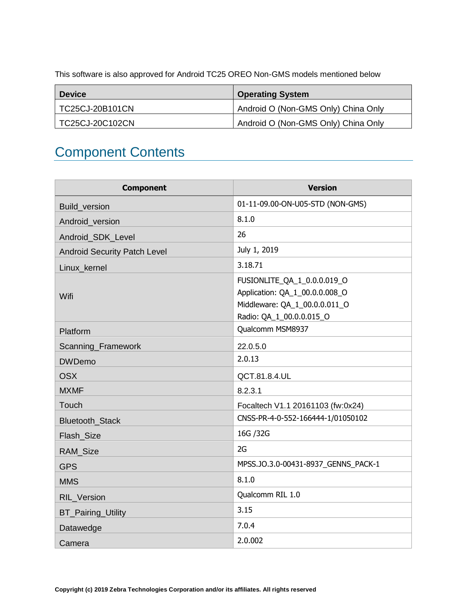<span id="page-3-0"></span>This software is also approved for Android TC25 OREO Non-GMS models mentioned below

| <b>Device</b>   | <b>Operating System</b>             |
|-----------------|-------------------------------------|
| TC25CJ-20B101CN | Android O (Non-GMS Only) China Only |
| TC25CJ-20C102CN | Android O (Non-GMS Only) China Only |

# Component Contents

| <b>Component</b>                    | <b>Version</b>                                                                                                             |
|-------------------------------------|----------------------------------------------------------------------------------------------------------------------------|
| Build_version                       | 01-11-09.00-ON-U05-STD (NON-GMS)                                                                                           |
| Android version                     | 8.1.0                                                                                                                      |
| Android_SDK_Level                   | 26                                                                                                                         |
| <b>Android Security Patch Level</b> | July 1, 2019                                                                                                               |
| Linux kernel                        | 3.18.71                                                                                                                    |
| Wifi                                | FUSIONLITE_QA_1_0.0.0.019_O<br>Application: QA_1_00.0.0.008_O<br>Middleware: QA_1_00.0.0.011_O<br>Radio: QA_1_00.0.0.015_O |
| Platform                            | Qualcomm MSM8937                                                                                                           |
| Scanning_Framework                  | 22.0.5.0                                                                                                                   |
| <b>DWDemo</b>                       | 2.0.13                                                                                                                     |
| <b>OSX</b>                          | QCT.81.8.4.UL                                                                                                              |
| <b>MXMF</b>                         | 8.2.3.1                                                                                                                    |
| Touch                               | Focaltech V1.1 20161103 (fw:0x24)                                                                                          |
| <b>Bluetooth Stack</b>              | CNSS-PR-4-0-552-166444-1/01050102                                                                                          |
| Flash_Size                          | 16G / 32G                                                                                                                  |
| <b>RAM Size</b>                     | 2G                                                                                                                         |
| <b>GPS</b>                          | MPSS.JO.3.0-00431-8937_GENNS_PACK-1                                                                                        |
| <b>MMS</b>                          | 8.1.0                                                                                                                      |
| RIL_Version                         | Qualcomm RIL 1.0                                                                                                           |
| <b>BT_Pairing_Utility</b>           | 3.15                                                                                                                       |
| Datawedge                           | 7.0.4                                                                                                                      |
| Camera                              | 2.0.002                                                                                                                    |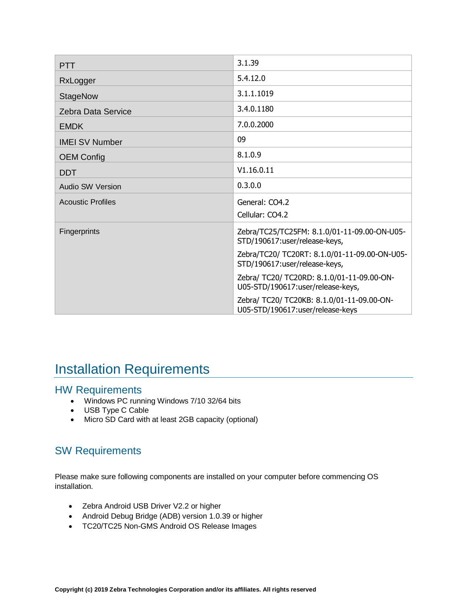| <b>PTT</b>               | 3.1.39                                                                          |
|--------------------------|---------------------------------------------------------------------------------|
| RxLogger                 | 5.4.12.0                                                                        |
| <b>StageNow</b>          | 3.1.1.1019                                                                      |
| Zebra Data Service       | 3.4.0.1180                                                                      |
| <b>EMDK</b>              | 7.0.0.2000                                                                      |
| <b>IMEI SV Number</b>    | 09                                                                              |
| <b>OEM Config</b>        | 8.1.0.9                                                                         |
| <b>DDT</b>               | V1.16.0.11                                                                      |
| Audio SW Version         | 0.3.0.0                                                                         |
| <b>Acoustic Profiles</b> | General: CO4.2                                                                  |
|                          | Cellular: CO4.2                                                                 |
| Fingerprints             | Zebra/TC25/TC25FM: 8.1.0/01-11-09.00-ON-U05-<br>STD/190617:user/release-keys,   |
|                          | Zebra/TC20/ TC20RT: 8.1.0/01-11-09.00-ON-U05-<br>STD/190617:user/release-keys,  |
|                          | Zebra/ TC20/ TC20RD: 8.1.0/01-11-09.00-ON-<br>U05-STD/190617:user/release-keys, |
|                          | Zebra/ TC20/ TC20KB: 8.1.0/01-11-09.00-ON-<br>U05-STD/190617:user/release-keys  |

## <span id="page-4-0"></span>Installation Requirements

#### HW Requirements

- Windows PC running Windows 7/10 32/64 bits
- USB Type C Cable
- Micro SD Card with at least 2GB capacity (optional)

## SW Requirements

Please make sure following components are installed on your computer before commencing OS installation.

- Zebra Android USB Driver V2.2 or higher
- Android Debug Bridge (ADB) version 1.0.39 or higher
- TC20/TC25 Non-GMS Android OS Release Images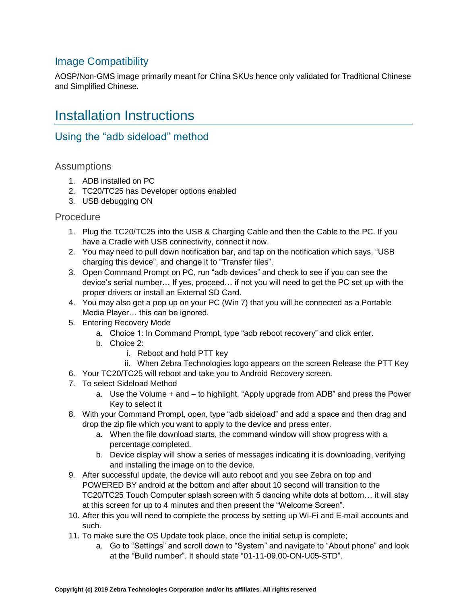## Image Compatibility

<span id="page-5-0"></span>AOSP/Non-GMS image primarily meant for China SKUs hence only validated for Traditional Chinese and Simplified Chinese.

## Installation Instructions

### Using the "adb sideload" method

#### **Assumptions**

- 1. ADB installed on PC
- 2. TC20/TC25 has Developer options enabled
- 3. USB debugging ON

#### **Procedure**

- 1. Plug the TC20/TC25 into the USB & Charging Cable and then the Cable to the PC. If you have a Cradle with USB connectivity, connect it now.
- 2. You may need to pull down notification bar, and tap on the notification which says, "USB charging this device", and change it to "Transfer files".
- 3. Open Command Prompt on PC, run "adb devices" and check to see if you can see the device's serial number… If yes, proceed… if not you will need to get the PC set up with the proper drivers or install an External SD Card.
- 4. You may also get a pop up on your PC (Win 7) that you will be connected as a Portable Media Player… this can be ignored.
- 5. Entering Recovery Mode
	- a. Choice 1: In Command Prompt, type "adb reboot recovery" and click enter.
	- b. Choice 2:
		- i. Reboot and hold PTT key
- ii. When Zebra Technologies logo appears on the screen Release the PTT Key
- 6. Your TC20/TC25 will reboot and take you to Android Recovery screen.
- 7. To select Sideload Method
	- a. Use the Volume + and to highlight, "Apply upgrade from ADB" and press the Power Key to select it
- 8. With your Command Prompt, open, type "adb sideload" and add a space and then drag and drop the zip file which you want to apply to the device and press enter.
	- a. When the file download starts, the command window will show progress with a percentage completed.
	- b. Device display will show a series of messages indicating it is downloading, verifying and installing the image on to the device.
- 9. After successful update, the device will auto reboot and you see Zebra on top and POWERED BY android at the bottom and after about 10 second will transition to the TC20/TC25 Touch Computer splash screen with 5 dancing white dots at bottom… it will stay at this screen for up to 4 minutes and then present the "Welcome Screen".
- 10. After this you will need to complete the process by setting up Wi-Fi and E-mail accounts and such.
- 11. To make sure the OS Update took place, once the initial setup is complete;
	- a. Go to "Settings" and scroll down to "System" and navigate to "About phone" and look at the "Build number". It should state "01-11-09.00-ON-U05-STD".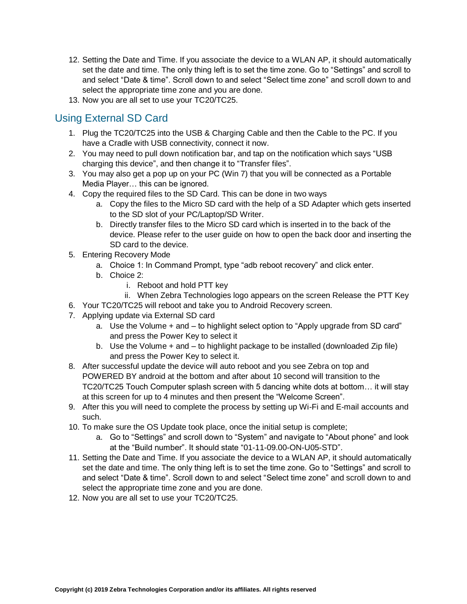- 12. Setting the Date and Time. If you associate the device to a WLAN AP, it should automatically set the date and time. The only thing left is to set the time zone. Go to "Settings" and scroll to and select "Date & time". Scroll down to and select "Select time zone" and scroll down to and select the appropriate time zone and you are done.
- 13. Now you are all set to use your TC20/TC25.

## Using External SD Card

- 1. Plug the TC20/TC25 into the USB & Charging Cable and then the Cable to the PC. If you have a Cradle with USB connectivity, connect it now.
- 2. You may need to pull down notification bar, and tap on the notification which says "USB charging this device", and then change it to "Transfer files".
- 3. You may also get a pop up on your PC (Win 7) that you will be connected as a Portable Media Player… this can be ignored.
- 4. Copy the required files to the SD Card. This can be done in two ways
	- a. Copy the files to the Micro SD card with the help of a SD Adapter which gets inserted to the SD slot of your PC/Laptop/SD Writer.
	- b. Directly transfer files to the Micro SD card which is inserted in to the back of the device. Please refer to the user guide on how to open the back door and inserting the SD card to the device.
- 5. Entering Recovery Mode
	- a. Choice 1: In Command Prompt, type "adb reboot recovery" and click enter.
	- b. Choice 2:
		- i. Reboot and hold PTT key
		- ii. When Zebra Technologies logo appears on the screen Release the PTT Key
- 6. Your TC20/TC25 will reboot and take you to Android Recovery screen.
- 7. Applying update via External SD card
	- a. Use the Volume + and to highlight select option to "Apply upgrade from SD card" and press the Power Key to select it
	- b. Use the Volume + and to highlight package to be installed (downloaded Zip file) and press the Power Key to select it.
- 8. After successful update the device will auto reboot and you see Zebra on top and POWERED BY android at the bottom and after about 10 second will transition to the TC20/TC25 Touch Computer splash screen with 5 dancing white dots at bottom… it will stay at this screen for up to 4 minutes and then present the "Welcome Screen".
- 9. After this you will need to complete the process by setting up Wi-Fi and E-mail accounts and such.
- 10. To make sure the OS Update took place, once the initial setup is complete;
	- a. Go to "Settings" and scroll down to "System" and navigate to "About phone" and look at the "Build number". It should state "01-11-09.00-ON-U05-STD".
- 11. Setting the Date and Time. If you associate the device to a WLAN AP, it should automatically set the date and time. The only thing left is to set the time zone. Go to "Settings" and scroll to and select "Date & time". Scroll down to and select "Select time zone" and scroll down to and select the appropriate time zone and you are done.
- 12. Now you are all set to use your TC20/TC25.